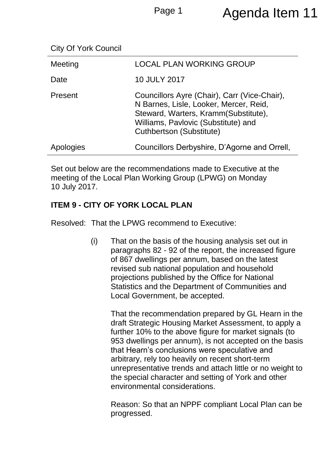| Meeting        | <b>LOCAL PLAN WORKING GROUP</b>                                                                                                                                                                          |
|----------------|----------------------------------------------------------------------------------------------------------------------------------------------------------------------------------------------------------|
| Date           | <b>10 JULY 2017</b>                                                                                                                                                                                      |
| <b>Present</b> | Councillors Ayre (Chair), Carr (Vice-Chair),<br>N Barnes, Lisle, Looker, Mercer, Reid,<br>Steward, Warters, Kramm(Substitute),<br>Williams, Pavlovic (Substitute) and<br><b>Cuthbertson (Substitute)</b> |
| Apologies      | Councillors Derbyshire, D'Agorne and Orrell,                                                                                                                                                             |

Set out below are the recommendations made to Executive at the meeting of the Local Plan Working Group (LPWG) on Monday 10 July 2017.

## **ITEM 9 - CITY OF YORK LOCAL PLAN**

Resolved: That the LPWG recommend to Executive:

(i) That on the basis of the housing analysis set out in paragraphs 82 - 92 of the report, the increased figure of 867 dwellings per annum, based on the latest revised sub national population and household projections published by the Office for National Statistics and the Department of Communities and Local Government, be accepted.

> That the recommendation prepared by GL Hearn in the draft Strategic Housing Market Assessment, to apply a further 10% to the above figure for market signals (to 953 dwellings per annum), is not accepted on the basis that Hearn's conclusions were speculative and arbitrary, rely too heavily on recent short-term unrepresentative trends and attach little or no weight to the special character and setting of York and other environmental considerations.

> Reason: So that an NPPF compliant Local Plan can be progressed.

City Of York Council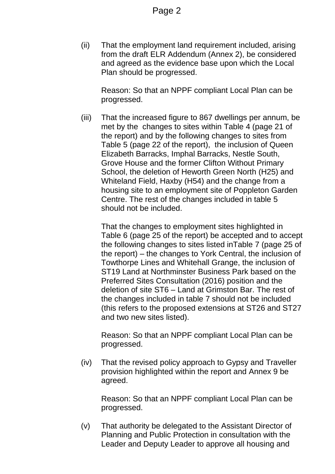(ii) That the employment land requirement included, arising from the draft ELR Addendum (Annex 2), be considered and agreed as the evidence base upon which the Local Plan should be progressed.

Reason: So that an NPPF compliant Local Plan can be progressed.

(iii) That the increased figure to 867 dwellings per annum, be met by the changes to sites within Table 4 (page 21 of the report) and by the following changes to sites from Table 5 (page 22 of the report), the inclusion of Queen Elizabeth Barracks, Imphal Barracks, Nestle South, Grove House and the former Clifton Without Primary School, the deletion of Heworth Green North (H25) and Whiteland Field, Haxby (H54) and the change from a housing site to an employment site of Poppleton Garden Centre. The rest of the changes included in table 5 should not be included.

That the changes to employment sites highlighted in Table 6 (page 25 of the report) be accepted and to accept the following changes to sites listed inTable 7 (page 25 of the report) – the changes to York Central, the inclusion of Towthorpe Lines and Whitehall Grange, the inclusion of ST19 Land at Northminster Business Park based on the Preferred Sites Consultation (2016) position and the deletion of site ST6 – Land at Grimston Bar. The rest of the changes included in table 7 should not be included (this refers to the proposed extensions at ST26 and ST27 and two new sites listed).

Reason: So that an NPPF compliant Local Plan can be progressed.

(iv) That the revised policy approach to Gypsy and Traveller provision highlighted within the report and Annex 9 be agreed.

Reason: So that an NPPF compliant Local Plan can be progressed.

(v) That authority be delegated to the Assistant Director of Planning and Public Protection in consultation with the Leader and Deputy Leader to approve all housing and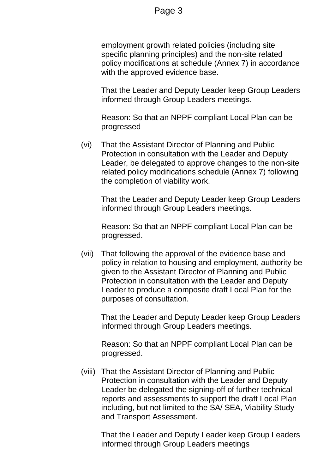## Page 3

employment growth related policies (including site specific planning principles) and the non-site related policy modifications at schedule (Annex 7) in accordance with the approved evidence base.

That the Leader and Deputy Leader keep Group Leaders informed through Group Leaders meetings.

Reason: So that an NPPF compliant Local Plan can be progressed

(vi) That the Assistant Director of Planning and Public Protection in consultation with the Leader and Deputy Leader, be delegated to approve changes to the non-site related policy modifications schedule (Annex 7) following the completion of viability work.

That the Leader and Deputy Leader keep Group Leaders informed through Group Leaders meetings.

Reason: So that an NPPF compliant Local Plan can be progressed.

(vii) That following the approval of the evidence base and policy in relation to housing and employment, authority be given to the Assistant Director of Planning and Public Protection in consultation with the Leader and Deputy Leader to produce a composite draft Local Plan for the purposes of consultation.

That the Leader and Deputy Leader keep Group Leaders informed through Group Leaders meetings.

Reason: So that an NPPF compliant Local Plan can be progressed.

(viii) That the Assistant Director of Planning and Public Protection in consultation with the Leader and Deputy Leader be delegated the signing-off of further technical reports and assessments to support the draft Local Plan including, but not limited to the SA/ SEA, Viability Study and Transport Assessment.

That the Leader and Deputy Leader keep Group Leaders informed through Group Leaders meetings